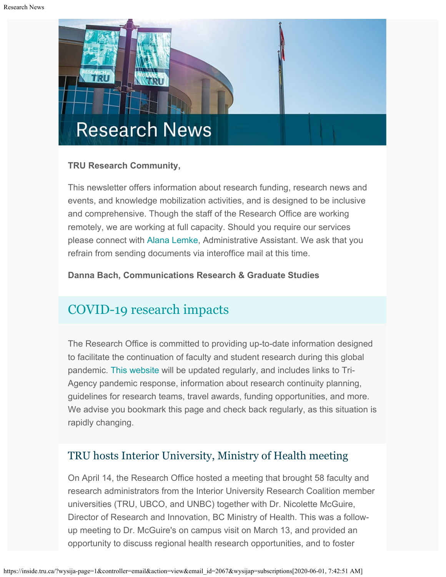

### **TRU Research Community,**

This newsletter offers information about research funding, research news and events, and knowledge mobilization activities, and is designed to be inclusive and comprehensive. Though the staff of the Research Office are working remotely, we are working at full capacity. Should you require our services please connect with [Alana Lemke](mailto:alemke@tru.ca), Administrative Assistant. We ask that you refrain from sending documents via interoffice mail at this time.

**Danna Bach, Communications Research & Graduate Studies**

# [COVID-19 research impacts](https://www.tru.ca/research/covid-19-research-impacts.html)

The Research Office is committed to providing up-to-date information designed to facilitate the continuation of faculty and student research during this global pandemic. [This website](https://www.tru.ca/research/covid-19-research-impacts.html) will be updated regularly, and includes links to Tri-Agency pandemic response, information about research continuity planning, guidelines for research teams, travel awards, funding opportunities, and more. We advise you bookmark this page and check back regularly, as this situation is rapidly changing.

# TRU hosts Interior University, Ministry of Health meeting

On April 14, the Research Office hosted a meeting that brought 58 faculty and research administrators from the Interior University Research Coalition member universities (TRU, UBCO, and UNBC) together with Dr. Nicolette McGuire, Director of Research and Innovation, BC Ministry of Health. This was a followup meeting to Dr. McGuire's on campus visit on March 13, and provided an opportunity to discuss regional health research opportunities, and to foster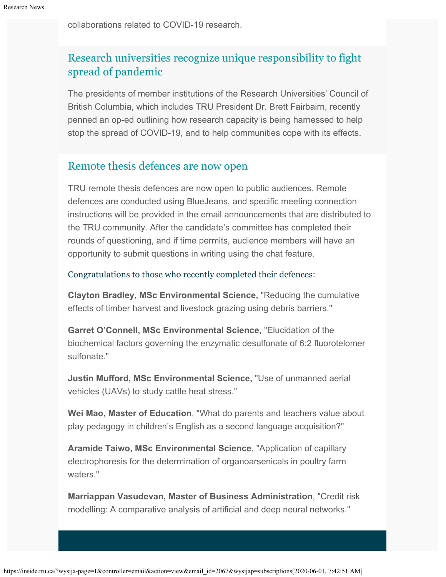collaborations related to COVID-19 research.

# [Research universities recognize unique responsibility to fight](https://vancouversun.com/opinion/opinion-research-universities-recognize-unique-responsibility-to-fight-spread-of-pandemic/) [spread of pandemic](https://vancouversun.com/opinion/opinion-research-universities-recognize-unique-responsibility-to-fight-spread-of-pandemic/)

The presidents of member institutions of the Research Universities' Council of British Columbia, which includes TRU President Dr. Brett Fairbairn, recently penned an op-ed outlining how research capacity is being harnessed to help stop the spread of COVID-19, and to help communities cope with its effects.

# [Remote thesis defences are now open](https://www.tru.ca/research/graduate-studies/remote-thesis-defence-procedures.html)

TRU remote thesis defences are now open to public audiences. Remote defences are conducted using BlueJeans, and specific meeting connection instructions will be provided in the email announcements that are distributed to the TRU community. After the candidate's committee has completed their rounds of questioning, and if time permits, audience members will have an opportunity to submit questions in writing using the chat feature.

Congratulations to those who recently completed their defences:

**Clayton Bradley, MSc Environmental Science,** "Reducing the cumulative effects of timber harvest and livestock grazing using debris barriers."

**Garret O'Connell, MSc Environmental Science,** "Elucidation of the biochemical factors governing the enzymatic desulfonate of 6:2 fluorotelomer sulfonate."

**Justin Mufford, MSc Environmental Science,** "Use of unmanned aerial vehicles (UAVs) to study cattle heat stress."

**Wei Mao, Master of Education**, "What do parents and teachers value about play pedagogy in children's English as a second language acquisition?"

**Aramide Taiwo, MSc Environmental Science**, "Application of capillary electrophoresis for the determination of organoarsenicals in poultry farm waters."

**Marriappan Vasudevan, Master of Business Administration**, "Credit risk modelling: A comparative analysis of artificial and deep neural networks."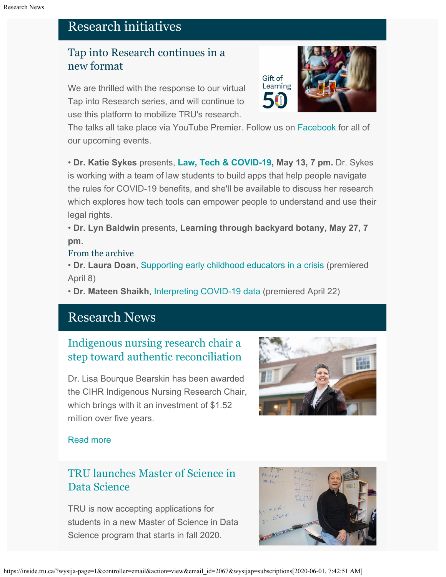# Research initiatives

# Tap into Research continues in a new format

We are thrilled with the response to our virtual Tap into Research series, and will continue to use this platform to mobilize TRU's research.

The talks all take place via YouTube Premier. Follow us on [Facebook](https://www.facebook.com/TRUResearch/) for all of our upcoming events.

• **Dr. Katie Sykes** presents, **[Law, Tech &](https://www.facebook.com/events/227951518507686/) COVID-19, May 13, 7 pm.** Dr. Sykes is working with a team of law students to build apps that help people navigate the rules for COVID-19 benefits, and she'll be available to discuss her research which explores how tech tools can empower people to understand and use their legal rights.

• **Dr. Lyn Baldwin** presents, **Learning through backyard botany, May 27, 7 pm**.

### From the archive

• **Dr. Laura Doan**[, Supporting early childhood educators in a crisis](https://youtu.be/SL7JPrvG7i8) (premiered April 8)

• **Dr. Mateen Shaikh**, [Interpreting COVID-19 data](https://youtu.be/SqLrvyRdmS4) (premiered April 22)

# Research News

# [Indigenous nursing research chair a](http://inside.tru.ca/2020/04/08/indigenous-nursing-research-chair-a-step-toward-authentic-reconciliation/) [step toward authentic reconciliation](http://inside.tru.ca/2020/04/08/indigenous-nursing-research-chair-a-step-toward-authentic-reconciliation/)

Dr. Lisa Bourque Bearskin has been awarded the CIHR Indigenous Nursing Research Chair, which brings with it an investment of \$1.52 million over five years.



### [Read more](http://inside.tru.ca/2020/04/08/indigenous-nursing-research-chair-a-step-toward-authentic-reconciliation/)

# [TRU launches Master of Science in](http://inside.tru.ca/2020/04/03/tru-launches-master-of-science-in-data-science/) [Data Science](http://inside.tru.ca/2020/04/03/tru-launches-master-of-science-in-data-science/)

TRU is now accepting applications for students in a new Master of Science in Data Science program that starts in fall 2020.



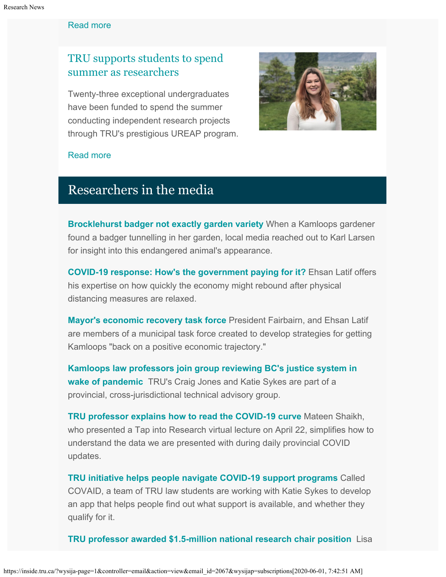#### [Read more](http://inside.tru.ca/2020/04/03/tru-launches-master-of-science-in-data-science/)

# [TRU supports students to spend](http://inside.tru.ca/2020/05/05/tru-supports-students-to-spend-summer-as-researchers/) [summer as researchers](http://inside.tru.ca/2020/05/05/tru-supports-students-to-spend-summer-as-researchers/)

Twenty-three exceptional undergraduates have been funded to spend the summer conducting independent research projects through TRU's prestigious UREAP program.



#### [Read more](http://inside.tru.ca/2020/05/05/tru-supports-students-to-spend-summer-as-researchers/)

# Researchers in the media

**[Brocklehurst badger not exactly garden variety](https://www.kamloopsthisweek.com/news/with-video-brocklehurst-badger-not-exactly-garden-variety-1.24130045)** When a Kamloops gardener found a badger tunnelling in her garden, local media reached out to Karl Larsen for insight into this endangered animal's appearance.

**[COVID-19 response: How's the government paying for it?](https://www.therockymountaingoat.com/2020/05/covid-19-response-hows-the-government-paying-for-it/)** Ehsan Latif offers his expertise on how quickly the economy might rebound after physical distancing measures are relaxed.

**[Mayor's economic recovery task force](https://www.kamloopsthisweek.com/news/mayor-s-economic-recovery-task-force-will-meet-in-may-june-and-august-1.24123953)** President Fairbairn, and Ehsan Latif are members of a municipal task force created to develop strategies for getting Kamloops "back on a positive economic trajectory."

**[Kamloops law professors join group reviewing BC's justice system in](https://www.kamloopsthisweek.com/news/kamloops-law-professors-join-group-reviewing-b-c-s-justice-system-in-wake-of-pandemic-1.24124980) [wake of pandemic](https://www.kamloopsthisweek.com/news/kamloops-law-professors-join-group-reviewing-b-c-s-justice-system-in-wake-of-pandemic-1.24124980)** TRU's Craig Jones and Katie Sykes are part of a provincial, cross-jurisdictional technical advisory group.

**[TRU professor explains how to read the COVID-19 curve](https://www.kamloopsthisweek.com/news/tru-professor-explains-how-to-read-the-covid-19-curve-1.24125268)** Mateen Shaikh, who presented a Tap into Research virtual lecture on April 22, simplifies how to understand the data we are presented with during daily provincial COVID updates.

**[TRU initiative helps people navigate COVID-19 support programs](https://www.bclocalnews.com/news/tru-initiative-helps-people-navigate-covid-19-support-programs/)** Called COVAID, a team of TRU law students are working with Katie Sykes to develop an app that helps people find out what support is available, and whether they qualify for it.

**[TRU professor awarded \\$1.5-million national research chair position](https://www.kamloopsthisweek.com/community/tru-professor-awarded-1-5-million-national-research-chair-position-1.24115100)** Lisa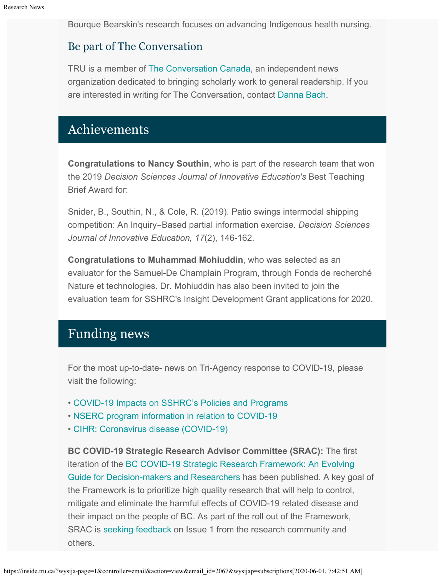Bourque Bearskin's research focuses on advancing Indigenous health nursing.

## Be part of The Conversation

TRU is a member of [The Conversation Canada](https://theconversation.com/ca), an independent news organization dedicated to bringing scholarly work to general readership. If you are interested in writing for The Conversation, contact [Danna Bach](mailto:dbach@tru.ca).

# Achievements

**Congratulations to Nancy Southin**, who is part of the research team that won the 2019 *Decision Sciences Journal of Innovative Education's* Best Teaching Brief Award for:

Snider, B., Southin, N., & Cole, R. (2019). Patio swings intermodal shipping competition: An Inquiry‐Based partial information exercise. *Decision Sciences Journal of Innovative Education, 17*(2), 146-162.

**Congratulations to Muhammad Mohiuddin**, who was selected as an evaluator for the Samuel-De Champlain Program, through Fonds de recherché Nature et technologies*.* Dr. Mohiuddin has also been invited to join the evaluation team for SSHRC's Insight Development Grant applications for 2020.

# Funding news

For the most up-to-date- news on Tri-Agency response to COVID-19, please visit the following:

- [COVID-19 Impacts on SSHRC's Policies and Programs](https://www.sshrc-crsh.gc.ca/news_room-salle_de_presse/covid-19-eng.aspx)
- [NSERC program information in relation to COVID-19](https://www.nserc-crsng.gc.ca/Media-Media/NewsRelease-CommuniqueDePresse_eng.asp?ID=1139)
- [CIHR: Coronavirus disease \(COVID-19\)](https://cihr-irsc.gc.ca/e/51917.html)

**BC COVID-19 Strategic Research Advisor Committee (SRAC):** The first iteration of the [BC COVID-19 Strategic Research Framework: An Evolving](https://www.msfhr.org/sites/default/files/APRIL%2027%202020%20FRAMEWORK%20ISSUE%201.pdf%22%20%5Ct%20%22_blank) [Guide for Decision-makers and Researchers](https://www.msfhr.org/sites/default/files/APRIL%2027%202020%20FRAMEWORK%20ISSUE%201.pdf%22%20%5Ct%20%22_blank) has been published. A key goal of the Framework is to prioritize high quality research that will help to control, mitigate and eliminate the harmful effects of COVID-19 related disease and their impact on the people of BC. As part of the roll out of the Framework, SRAC is [seeking feedback](https://www.research.net/r/SRAC-Feedback%22%20%5Ct%20%22_blank) on Issue 1 from the research community and others.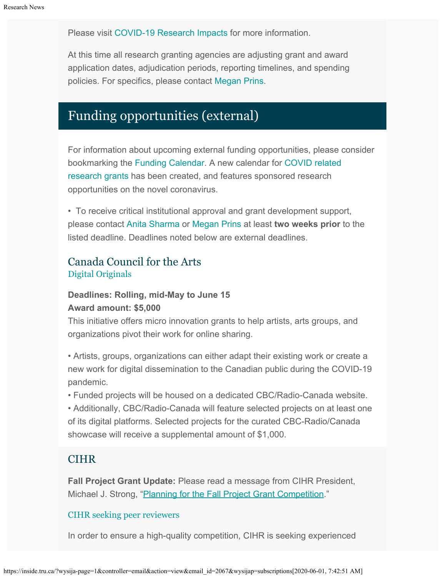Please visit [COVID-19 Research Impacts](https://www.tru.ca/research/covid-19-research-impacts.html) for more information.

At this time all research granting agencies are adjusting grant and award application dates, adjudication periods, reporting timelines, and spending policies. For specifics, please contact [Megan Prins](mailto:mprins@tru.ca).

# Funding opportunities (external)

For information about upcoming external funding opportunities, please consider bookmarking the [Funding Calendar](https://www.tru.ca/research/research-services/research-services-faculty/faculty-research-funding/funding-deadlines.html). A new calendar for [COVID related](https://www.tru.ca/research/research-services/research-services-faculty/faculty-research-funding/funding-deadlines.html) [research grants](https://www.tru.ca/research/research-services/research-services-faculty/faculty-research-funding/funding-deadlines.html) has been created, and features sponsored research opportunities on the novel coronavirus.

• To receive critical institutional approval and grant development support, please contact [Anita Sharma](mailto:ansharma@tru.ca) or [Megan Prins](mailto:mprins@tru.ca) at least **two weeks prior** to the listed deadline. Deadlines noted below are external deadlines.

# Canada Council for the Arts [Digital Originals](https://canadacouncil.ca/initiatives/digital-originals)

## **Deadlines: Rolling, mid-May to June 15 Award amount: \$5,000**

This initiative offers micro innovation grants to help artists, arts groups, and organizations pivot their work for online sharing.

• Artists, groups, organizations can either adapt their existing work or create a new work for digital dissemination to the Canadian public during the COVID-19 pandemic.

• Funded projects will be housed on a dedicated CBC/Radio-Canada website.

• Additionally, CBC/Radio-Canada will feature selected projects on at least one of its digital platforms. Selected projects for the curated CBC-Radio/Canada showcase will receive a supplemental amount of \$1,000.

# **CIHR**

**Fall Project Grant Update:** Please read a message from CIHR President, Michael J. Strong, ["Planning for the Fall Project Grant Competition](https://cihr-irsc.gc.ca/e/51952.html)."

### [CIHR seeking peer reviewers](https://www.researchnet-recherchenet.ca/rnr16/vwOpprtntyDtls.do?all=1&masterList=true&next=1&prog=3309&resultCount=25&sort=program&type=EXACT&view=currentOpps&language=E)

In order to ensure a high-quality competition, CIHR is seeking experienced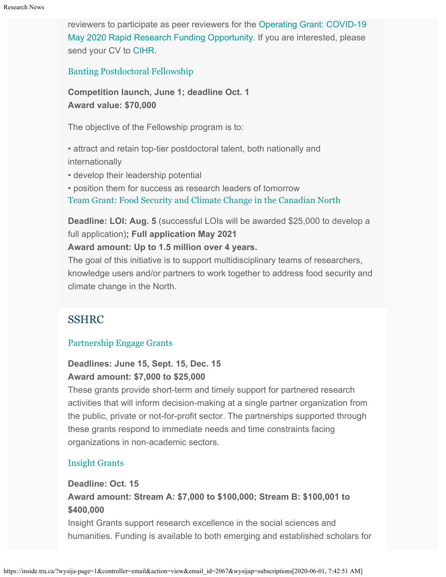reviewers to participate as peer reviewers for the [Operating Grant: COVID-19](https://www.researchnet-recherchenet.ca/rnr16/vwOpprtntyDtls.do?all=1&masterList=true&next=1&prog=3309&resultCount=25&sort=program&type=EXACT&view=currentOpps&language=E) [May 2020 Rapid Research Funding Opportunity](https://www.researchnet-recherchenet.ca/rnr16/vwOpprtntyDtls.do?all=1&masterList=true&next=1&prog=3309&resultCount=25&sort=program&type=EXACT&view=currentOpps&language=E). If you are interested, please send your CV to [CIHR.](mailto:EHTRF-FRNMS@cihr-irsc.gc.ca)

[Banting Postdoctoral Fellowship](https://banting.fellowships-bourses.gc.ca/en/app-dem_overview-apercu.html)

**Competition launch, June 1; deadline Oct. 1 Award value: \$70,000**

The objective of the Fellowship program is to:

• attract and retain top-tier postdoctoral talent, both nationally and internationally

• develop their leadership potential

• position them for success as research leaders of tomorrow

[Team Grant: Food Security and Climate Change in the Canadian North](https://www.researchnet-recherchenet.ca/rnr16/vwOpprtntyDtls.do?prog=3269&view=search&launchMonth=2&launchYear=2020&type=EXACT&resultCount=25&next=1)

**Deadline: LOI: Aug. 5** (successful LOIs will be awarded \$25,000 to develop a full application)**; Full application May 2021**

#### **Award amount: Up to 1.5 million over 4 years.**

The goal of this initiative is to support multidisciplinary teams of researchers, knowledge users and/or partners to work together to address food security and climate change in the North.

### SSHRC

#### [Partnership Engage Grants](http://www.sshrc-crsh.gc.ca/funding-financement/programs-programmes/partnership_engage_grants-subventions_d_engagement_partenarial-eng.aspx)

### **Deadlines: June 15, Sept. 15, Dec. 15 Award amount: \$7,000 to \$25,000**

These grants provide short-term and timely support for partnered research activities that will inform decision-making at a single partner organization from the public, private or not-for-profit sector. The partnerships supported through these grants respond to immediate needs and time constraints facing organizations in non-academic sectors.

#### [Insight Grants](http://www.sshrc-crsh.gc.ca/funding-financement/programs-programmes/insight_grants-subventions_savoir-eng.aspx)

#### **Deadline: Oct. 15**

**Award amount: Stream A: \$7,000 to \$100,000; Stream B: \$100,001 to \$400,000**

Insight Grants support research excellence in the social sciences and humanities. Funding is available to both emerging and established scholars for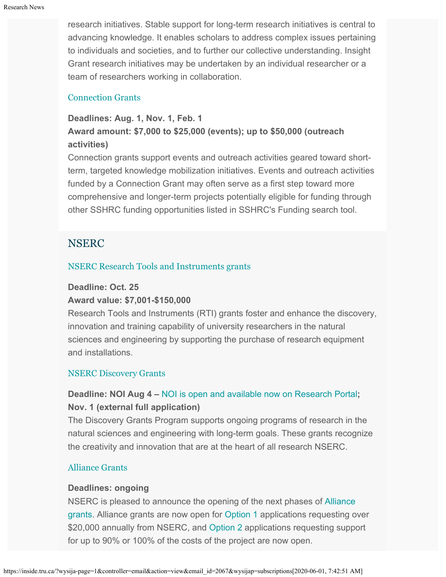research initiatives. Stable support for long-term research initiatives is central to advancing knowledge. It enables scholars to address complex issues pertaining to individuals and societies, and to further our collective understanding. Insight Grant research initiatives may be undertaken by an individual researcher or a team of researchers working in collaboration.

#### [Connection Grants](http://www.sshrc-crsh.gc.ca/funding-financement/programs-programmes/connection_grants-subventions_connexion-eng.aspx)

## **Deadlines: Aug. 1, Nov. 1, Feb. 1 Award amount: \$7,000 to \$25,000 (events); up to \$50,000 (outreach activities)**

Connection grants support events and outreach activities geared toward shortterm, targeted knowledge mobilization initiatives. Events and outreach activities funded by a Connection Grant may often serve as a first step toward more comprehensive and longer-term projects potentially eligible for funding through other SSHRC funding opportunities listed in SSHRC's Funding search tool.

# NSERC

### [NSERC Research Tools and Instruments grants](http://www.nserc-crsng.gc.ca/Professors-Professeurs/RTII-OIRI/RTI-OIR_eng.asp)

#### **Deadline: Oct. 25**

### **Award value: \$7,001-\$150,000**

Research Tools and Instruments (RTI) grants foster and enhance the discovery, innovation and training capability of university researchers in the natural sciences and engineering by supporting the purchase of research equipment and installations.

### [NSERC Discovery Grants](http://www.nserc-crsng.gc.ca/Professors-Professeurs/DGIC-CISD_eng.asp)

# **Deadline: NOI Aug 4 –** [NOI is open and available now on Research Portal](https://www.nserc-crsng.gc.ca/Professors-Professeurs/Grants-Subs/DGIGPNotice-PSIGPAvis_eng.asp)**; Nov. 1 (external full application)**

The Discovery Grants Program supports ongoing programs of research in the natural sciences and engineering with long-term goals. These grants recognize the creativity and innovation that are at the heart of all research NSERC[.](https://www.nserc-crsng.gc.ca/Innovate-Innover/COVID-19/index_eng.asp)

### [Alliance Grants](https://www.nserc-crsng.gc.ca/Innovate-Innover/alliance-alliance/index_eng.asp)

### **Deadlines: ongoing**

NSERC is pleased to announce the opening of the next phases of [Alliance](https://www.nserc-crsng.gc.ca/Innovate-Innover/alliance-alliance/index_eng.asp) [grants](https://www.nserc-crsng.gc.ca/Innovate-Innover/alliance-alliance/index_eng.asp). Alliance grants are now open for [Option 1](https://www.nserc-crsng.gc.ca/Innovate-Innover/alliance-alliance/funding-financement_eng.asp#option1) applications requesting over \$20,000 annually from NSERC, and [Option 2](https://www.nserc-crsng.gc.ca/Innovate-Innover/alliance-alliance/index_eng.asp) applications requesting support for up to 90% or 100% of the costs of the project are now open.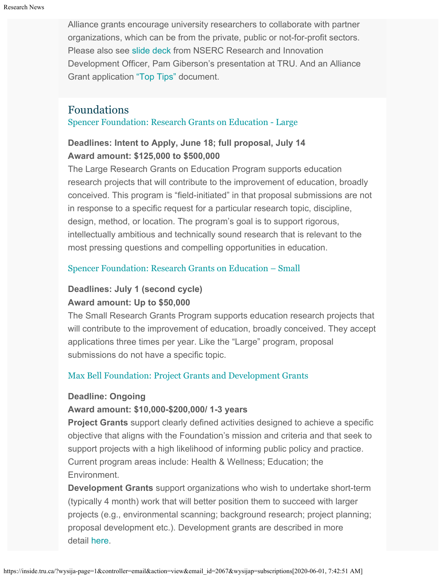Alliance grants encourage university researchers to collaborate with partner organizations, which can be from the private, public or not-for-profit sectors. Please also see [slide deck](https://one.tru.ca/sites/rgs/ToolsandResources/_layouts/15/WopiFrame.aspx?sourcedoc=/sites/rgs/ToolsandResources/Shared%20Documents/NSERC_ALLIANCE.pptx&action=default) from NSERC Research and Innovation Development Officer, Pam Giberson's presentation at TRU. And an Alliance Grant application ["Top Tips"](https://one.tru.ca/sites/rgs/ToolsandResources/_layouts/15/WopiFrame.aspx?sourcedoc=/sites/rgs/ToolsandResources/Shared%20Documents/Alliance%20Grant%20-%20Top%20Tips%20EN%20%20FR.pdf&action=default) document.

# Foundations

[Spencer Foundation: Research Grants on Education - Large](https://www.spencer.org/grant_types/large-research-grant)

# **Deadlines: Intent to Apply, June 18; full proposal, July 14 Award amount: \$125,000 to \$500,000**

The Large Research Grants on Education Program supports education research projects that will contribute to the improvement of education, broadly conceived. This program is "field-initiated" in that proposal submissions are not in response to a specific request for a particular research topic, discipline, design, method, or location. The program's goal is to support rigorous, intellectually ambitious and technically sound research that is relevant to the most pressing questions and compelling opportunities in education.

## [Spencer Foundation: Research Grants on Education – Small](https://www.spencer.org/grant_types/small-research-grant)

## **Deadlines: July 1 (second cycle) Award amount: Up to \$50,000**

The Small Research Grants Program supports education research projects that will contribute to the improvement of education, broadly conceived. They accept applications three times per year. Like the "Large" program, proposal submissions do not have a specific topic.

## [Max Bell Foundation: Project Grants and Development Grants](https://maxbell.org/our-work/granting/types-programs/)

### **Deadline: Ongoing**

## **Award amount: \$10,000-\$200,000/ 1-3 years**

**Project Grants** support clearly defined activities designed to achieve a specific objective that aligns with the Foundation's mission and criteria and that seek to support projects with a high likelihood of informing public policy and practice. Current program areas include: Health & Wellness; Education; the Environment.

**Development Grants** support organizations who wish to undertake short-term (typically 4 month) work that will better position them to succeed with larger projects (e.g., environmental scanning; background research; project planning; proposal development etc.). Development grants are described in more detail [here](https://maxbell.org/our-work/types-programs/).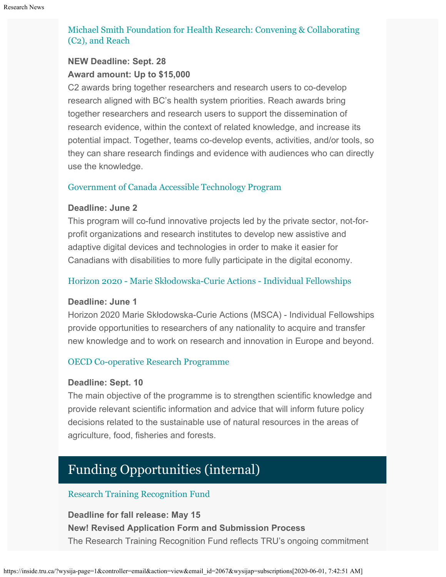### [Michael Smith Foundation for Health Research: Convening & Collaborating](https://www.msfhr.org/2020-convening-collaborating-competition) [\(C2\), and Reach](https://www.msfhr.org/2020-convening-collaborating-competition)

## **NEW Deadline: Sept. 28 Award amount: Up to \$15,000**

C2 awards bring together researchers and research users to co-develop research aligned with BC's health system priorities. Reach awards bring together researchers and research users to support the dissemination of research evidence, within the context of related knowledge, and increase its potential impact. Together, teams co-develop events, activities, and/or tools, so they can share research findings and evidence with audiences who can directly use the knowledge.

### [Government of Canada Accessible Technology Program](http://www.ic.gc.ca/eic/site/118.nsf/eng/00002.html)

### **Deadline: June 2**

This program will co-fund innovative projects led by the private sector, not-forprofit organizations and research institutes to develop new assistive and adaptive digital devices and technologies in order to make it easier for Canadians with disabilities to more fully participate in the digital economy.

### [Horizon 2020 - Marie Sk](https://ec.europa.eu/info/funding-tenders/opportunities/portal/screen/opportunities/topic-details/msca-if-2020)[ł](https://ec.europa.eu/info/funding-tenders/opportunities/portal/screen/opportunities/topic-details/msca-if-2020)[odowska-Curie Actions - Individual Fellowships](https://ec.europa.eu/info/funding-tenders/opportunities/portal/screen/opportunities/topic-details/msca-if-2020)

### **Deadline: June 1**

Horizon 2020 Marie Skłodowska-Curie Actions (MSCA) - Individual Fellowships provide opportunities to researchers of any nationality to acquire and transfer new knowledge and to work on research and innovation in Europe and beyond.

### [OECD Co-operative Research Programme](http://www.oecd.org/agriculture/crp/applications/)

### **Deadline: Sept. 10**

The main objective of the programme is to strengthen scientific knowledge and provide relevant scientific information and advice that will inform future policy decisions related to the sustainable use of natural resources in the areas of agriculture, food, fisheries and forests.

# Funding Opportunities (internal)

### [Research Training Recognition Fund](https://www.tru.ca/__shared/assets/RTRF_Application43168.pdf)

**Deadline for fall release: May 15 New! Revised Application Form and Submission Process** The Research Training Recognition Fund reflects TRU's ongoing commitment